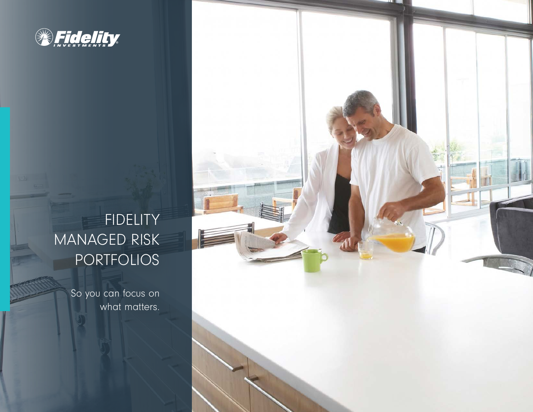

So you can focus on what matters.

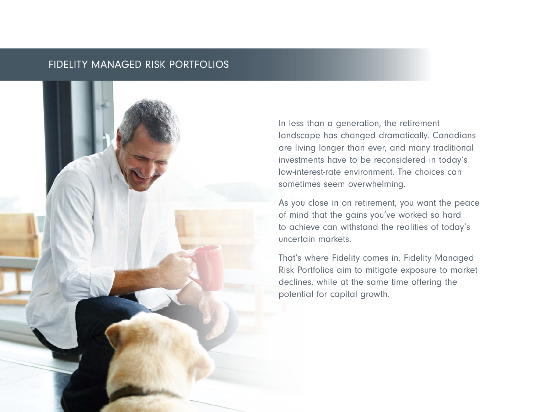

In less than a generation, the retirement landscape has changed dramatically. Canadians are living longer than ever, and many traditional investments have to be reconsidered in today's low-interest-rate environment. The choices can sometimes seem overwhelming.

As you close in on retirement, you want the peace of mind that the gains you've worked so hard to achieve can withstand the realities of today's uncertain markets.

That's where Fidelity comes in. Fidelity Managed Risk Portfolios aim to mitigate exposure to market declines, while at the same time offering the potential for capital growth.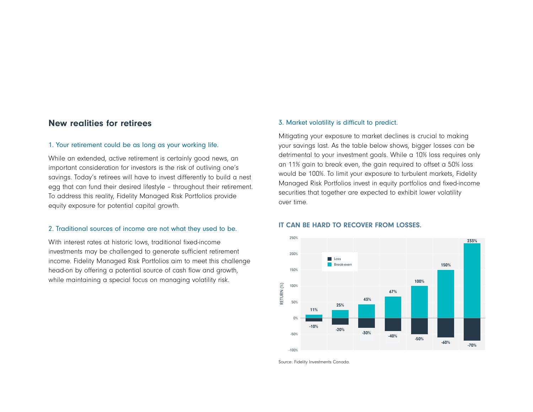### New realities for retirees

#### 1. Your retirement could be as long as your working life.

While an extended, active retirement is certainly good news, an important consideration for investors is the risk of outliving one's savings. Today's retirees will have to invest differently to build a nest egg that can fund their desired lifestyle – throughout their retirement. To address this reality, Fidelity Managed Risk Portfolios provide equity exposure for potential capital growth.

#### 2. Traditional sources of income are not what they used to be.

With interest rates at historic lows, traditional fixed-income investments may be challenged to generate sufficient retirement income. Fidelity Managed Risk Portfolios aim to meet this challenge head-on by offering a potential source of cash flow and growth, while maintaining a special focus on managing volatility risk.

#### 3. Market volatility is difficult to predict.

Mitigating your exposure to market declines is crucial to making your savings last. As the table below shows, bigger losses can be detrimental to your investment goals. While a 10% loss requires only an 11% gain to break even, the gain required to offset a 50% loss would be 100%. To limit your exposure to turbulent markets, Fidelity Managed Risk Portfolios invest in equity portfolios and fixed-income securities that together are expected to exhibit lower volatility over time.



#### IT CAN BE HARD TO RECOVER FROM LOSSES.

Source: Fidelity Investments Canada.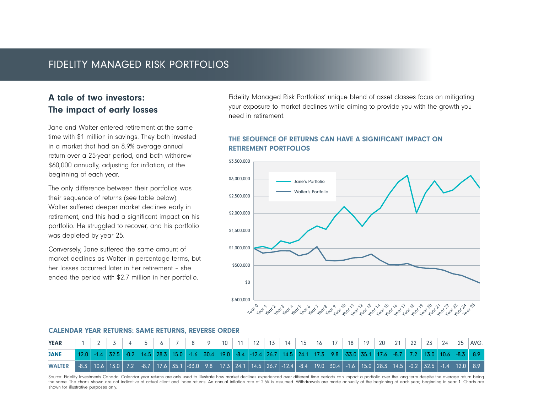### A tale of two investors: The impact of early losses

Jane and Walter entered retirement at the same time with \$1 million in savings. They both invested in a market that had an 8.9% average annual return over a 25-year period, and both withdrew \$60,000 annually, adjusting for inflation, at the beginning of each year.

The only difference between their portfolios was their sequence of returns (see table below). Walter suffered deeper market declines early in retirement, and this had a significant impact on his portfolio. He struggled to recover, and his portfolio was depleted by year 25.

Conversely, Jane suffered the same amount of market declines as Walter in percentage terms, but her losses occurred later in her retirement – she ended the period with \$2.7 million in her portfolio.

Fidelity Managed Risk Portfolios' unique blend of asset classes focus on mitigating your exposure to market declines while aiming to provide you with the growth you need in retirement.

### THE SEQUENCE OF RETURNS CAN HAVE A SIGNIFICANT IMPACT ON RETIREMENT PORTFOLIOS



### CALENDAR YEAR RETURNS: SAME RETURNS, REVERSE ORDER YEAR 1 2 3 4 5 6 7 8 9 10 11 12 13 14 15 16 17 18 19 20 21 22 23 24 25 AVG. JANE 12.0 -1.4 32.5 -0.2 14.5 28.3 15.0 -1.6 30.4 19.0 -8.4 -12.4 26.7 14.5 24.1 17.3 9.8 -33.0 35.1 17.6 -8.7 7.2 13.0 10.6 -8.3 8.9 WALTER | -8.3 | 10.6 | 13.0 | 7.2 | -8.7 | 17.6 | 35.1 | -33.0 | 9.8 | 17.3 | 24.1 | 14.5 | 26.7 | -12.4 | -8.4 | 19.0 | 30.4 | -1.6 | 15.0 | 28.3 | 14.5 | -0.2 | 32.5 | -1.4 | 12.0 | 8.9

Source: Fidelity Investments Canada. Calendar year returns are only used to illustrate how market declines experienced over different time periods can impact a portfolio over the long term despite the average return being the same. The charts shown are not indicative of actual client and index returns. An annual inflation rate of 2.5% is assumed. Withdrawals are made annually at the beginning of each year, beginning in year 1. Charts are shown for illustrative purposes only.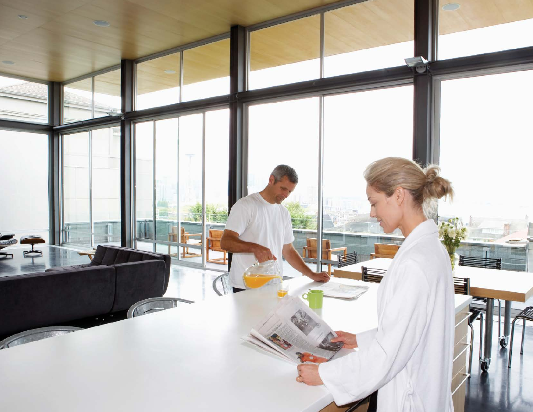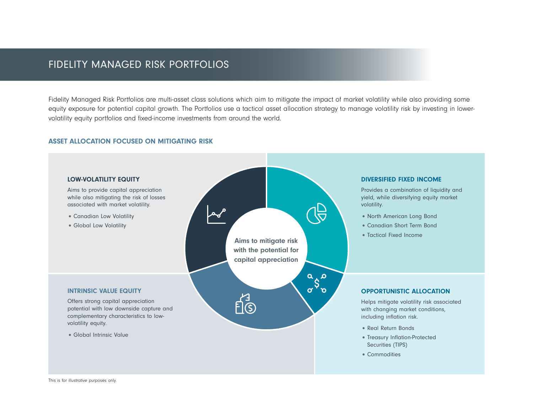Fidelity Managed Risk Portfolios are multi-asset class solutions which aim to mitigate the impact of market volatility while also providing some equity exposure for potential capital growth. The Portfolios use a tactical asset allocation strategy to manage volatility risk by investing in lowervolatility equity portfolios and fixed-income investments from around the world.

#### ASSET ALLOCATION FOCUSED ON MITIGATING RISK

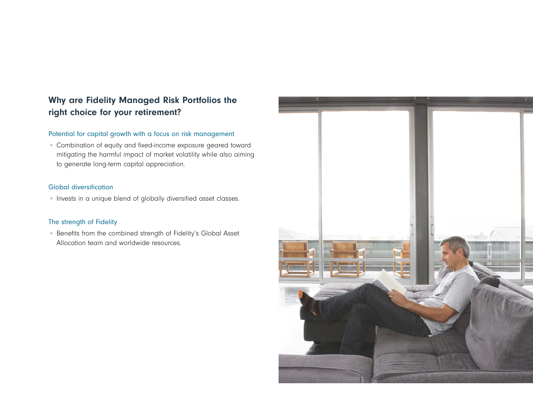### Why are Fidelity Managed Risk Portfolios the right choice for your retirement?

### Potential for capital growth with a focus on risk management

• Combination of equity and fixed-income exposure geared toward mitigating the harmful impact of market volatility while also aiming to generate long-term capital appreciation.

### Global diversification

• Invests in a unique blend of globally diversified asset classes.

### The strength of Fidelity

• Benefits from the combined strength of Fidelity's Global Asset Allocation team and worldwide resources.